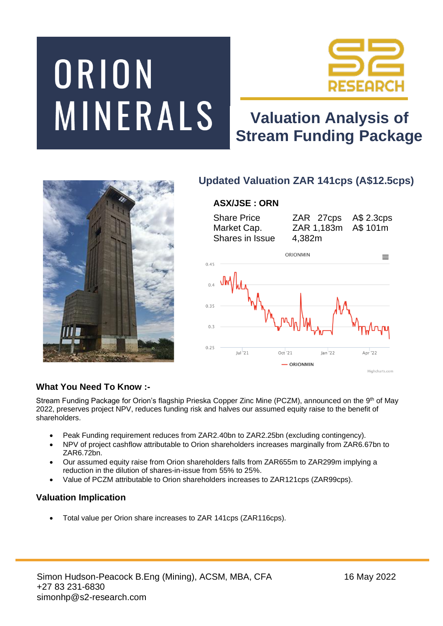# ORION **MINERALS**



# **Valuation Analysis of Stream Funding Package**



### **Updated Valuation ZAR 141cps (A\$12.5cps)**

#### **ASX/JSE : ORN**



## **What You Need To Know :-**

Stream Funding Package for Orion's flagship Prieska Copper Zinc Mine (PCZM), announced on the 9th of May 2022, preserves project NPV, reduces funding risk and halves our assumed equity raise to the benefit of shareholders.

- Peak Funding requirement reduces from ZAR2.40bn to ZAR2.25bn (excluding contingency).
- NPV of project cashflow attributable to Orion shareholders increases marginally from ZAR6.67bn to ZAR6.72bn.
- Our assumed equity raise from Orion shareholders falls from ZAR655m to ZAR299m implying a reduction in the dilution of shares-in-issue from 55% to 25%.
- Value of PCZM attributable to Orion shareholders increases to ZAR121cps (ZAR99cps).

#### **Valuation Implication**

• Total value per Orion share increases to ZAR 141cps (ZAR116cps).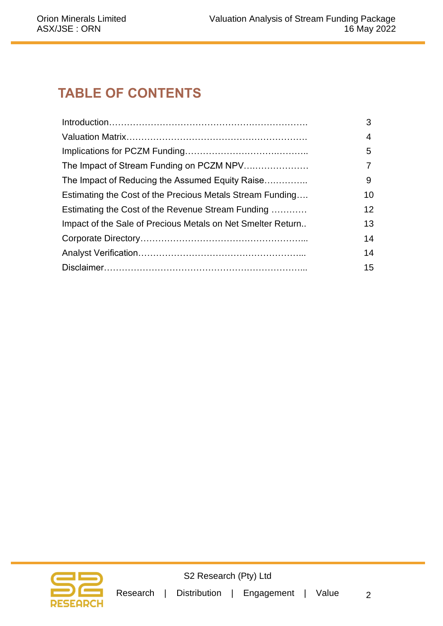## **TABLE OF CONTENTS**

|                                                             | 3  |
|-------------------------------------------------------------|----|
|                                                             | 4  |
|                                                             | 5  |
| The Impact of Stream Funding on PCZM NPV                    |    |
| The Impact of Reducing the Assumed Equity Raise             | 9  |
| Estimating the Cost of the Precious Metals Stream Funding   | 10 |
| Estimating the Cost of the Revenue Stream Funding           | 12 |
| Impact of the Sale of Precious Metals on Net Smelter Return | 13 |
|                                                             | 14 |
|                                                             | 14 |
|                                                             | 15 |

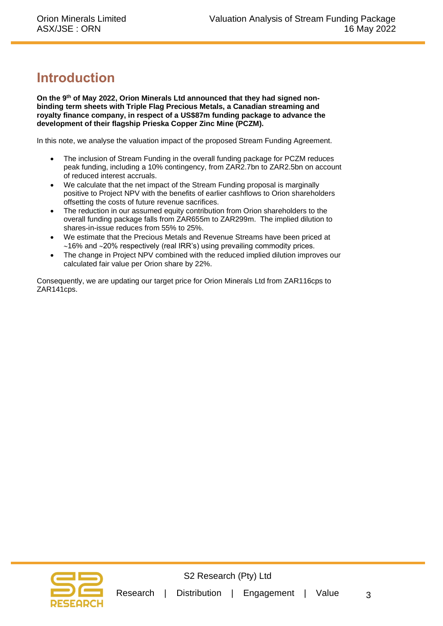## **Introduction**

**On the 9th of May 2022, Orion Minerals Ltd announced that they had signed nonbinding term sheets with Triple Flag Precious Metals, a Canadian streaming and royalty finance company, in respect of a US\$87m funding package to advance the development of their flagship Prieska Copper Zinc Mine (PCZM).**

In this note, we analyse the valuation impact of the proposed Stream Funding Agreement.

- The inclusion of Stream Funding in the overall funding package for PCZM reduces peak funding, including a 10% contingency, from ZAR2.7bn to ZAR2.5bn on account of reduced interest accruals.
- We calculate that the net impact of the Stream Funding proposal is marginally positive to Project NPV with the benefits of earlier cashflows to Orion shareholders offsetting the costs of future revenue sacrifices.
- The reduction in our assumed equity contribution from Orion shareholders to the overall funding package falls from ZAR655m to ZAR299m. The implied dilution to shares-in-issue reduces from 55% to 25%.
- We estimate that the Precious Metals and Revenue Streams have been priced at  $~16\%$  and  $~20\%$  respectively (real IRR's) using prevailing commodity prices.
- The change in Project NPV combined with the reduced implied dilution improves our calculated fair value per Orion share by 22%.

Consequently, we are updating our target price for Orion Minerals Ltd from ZAR116cps to ZAR141cps.

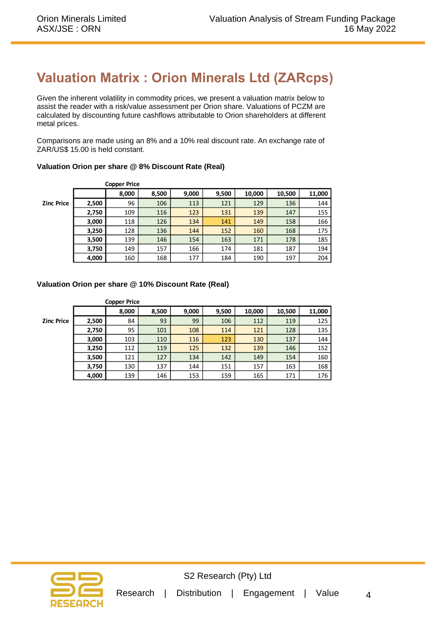## **Valuation Matrix : Orion Minerals Ltd (ZARcps)**

Given the inherent volatility in commodity prices, we present a valuation matrix below to assist the reader with a risk/value assessment per Orion share. Valuations of PCZM are calculated by discounting future cashflows attributable to Orion shareholders at different metal prices.

Comparisons are made using an 8% and a 10% real discount rate. An exchange rate of ZAR/US\$ 15.00 is held constant.

#### **Valuation Orion per share @ 8% Discount Rate (Real)**

|            |       | <b>Copper Price</b> |       |       |       |        |        |        |
|------------|-------|---------------------|-------|-------|-------|--------|--------|--------|
|            |       | 8,000               | 8,500 | 9,000 | 9,500 | 10,000 | 10,500 | 11,000 |
| Zinc Price | 2,500 | 96                  | 106   | 113   | 121   | 129    | 136    | 144    |
|            | 2,750 | 109                 | 116   | 123   | 131   | 139    | 147    | 155    |
|            | 3,000 | 118                 | 126   | 134   | 141   | 149    | 158    | 166    |
|            | 3,250 | 128                 | 136   | 144   | 152   | 160    | 168    | 175    |
|            | 3,500 | 139                 | 146   | 154   | 163   | 171    | 178    | 185    |
|            | 3,750 | 149                 | 157   | 166   | 174   | 181    | 187    | 194    |
|            | 4,000 | 160                 | 168   | 177   | 184   | 190    | 197    | 204    |

#### **Valuation Orion per share @ 10% Discount Rate (Real)**

|                   |       | <b>Copper Price</b> |       |       |       |        |        |        |
|-------------------|-------|---------------------|-------|-------|-------|--------|--------|--------|
|                   |       | 8,000               | 8,500 | 9,000 | 9,500 | 10,000 | 10,500 | 11,000 |
| <b>Zinc Price</b> | 2,500 | 84                  | 93    | 99    | 106   | 112    | 119    | 125    |
|                   | 2,750 | 95                  | 101   | 108   | 114   | 121    | 128    | 135    |
|                   | 3,000 | 103                 | 110   | 116   | 123   | 130    | 137    | 144    |
|                   | 3,250 | 112                 | 119   | 125   | 132   | 139    | 146    | 152    |
|                   | 3,500 | 121                 | 127   | 134   | 142   | 149    | 154    | 160    |
|                   | 3,750 | 130                 | 137   | 144   | 151   | 157    | 163    | 168    |
|                   | 4,000 | 139                 | 146   | 153   | 159   | 165    | 171    | 176    |

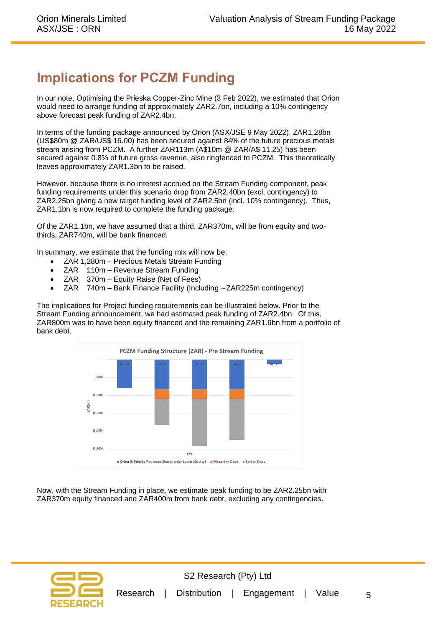## **Implications for PCZM Funding**

In our note, Optimising the Prieska Copper-Zinc Mine (3 Feb 2022), we estimated that Orion would need to arrange funding of approximately ZAR2.7bn, including a 10% contingency above forecast peak funding of ZAR2.4bn.

In terms of the funding package announced by Orion (ASX/JSE 9 May 2022), ZAR1.28bn (US\$80m @ ZAR/US\$ 16.00) has been secured against 84% of the future precious metals stream arising from PCZM. A further ZAR113m (A\$10m @ ZAR/A\$ 11.25) has been secured against 0.8% of future gross revenue, also ringfenced to PCZM. This theoretically leaves approximately ZAR1.3bn to be raised.

However, because there is no interest accrued on the Stream Funding component, peak funding requirements under this scenario drop from ZAR2.40bn (excl. contingency) to ZAR2.25bn giving a new target funding level of ZAR2.5bn (incl. 10% contingency). Thus, ZAR1.1bn is now required to complete the funding package.

Of the ZAR1.1bn, we have assumed that a third, ZAR370m, will be from equity and twothirds, ZAR740m, will be bank financed.

In summary, we estimate that the funding mix will now be;

- ZAR 1,280m Precious Metals Stream Funding
- ZAR 110m Revenue Stream Funding
- ZAR 370m Equity Raise (Net of Fees)
- ZAR 740m Bank Finance Facility (Including ∼ZAR225m contingency)

The implications for Project funding requirements can be illustrated below. Prior to the Stream Funding announcement, we had estimated peak funding of ZAR2.4bn. Of this, ZAR800m was to have been equity financed and the remaining ZAR1.6bn from a portfolio of bank debt.



Now, with the Stream Funding in place, we estimate peak funding to be ZAR2.25bn with ZAR370m equity financed and ZAR400m from bank debt, excluding any contingencies.

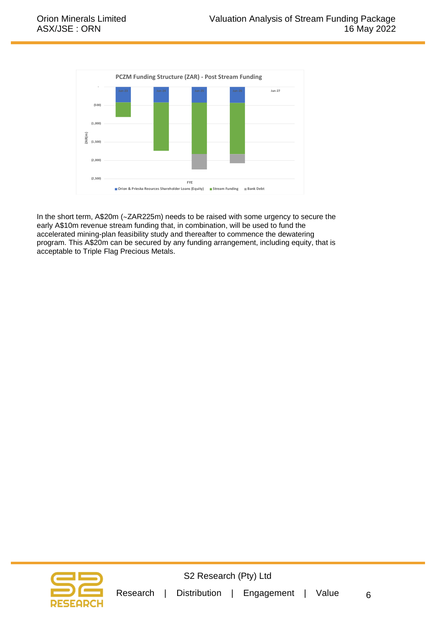

In the short term, A\$20m (~ZAR225m) needs to be raised with some urgency to secure the early A\$10m revenue stream funding that, in combination, will be used to fund the accelerated mining-plan feasibility study and thereafter to commence the dewatering program. This A\$20m can be secured by any funding arrangement, including equity, that is acceptable to Triple Flag Precious Metals.

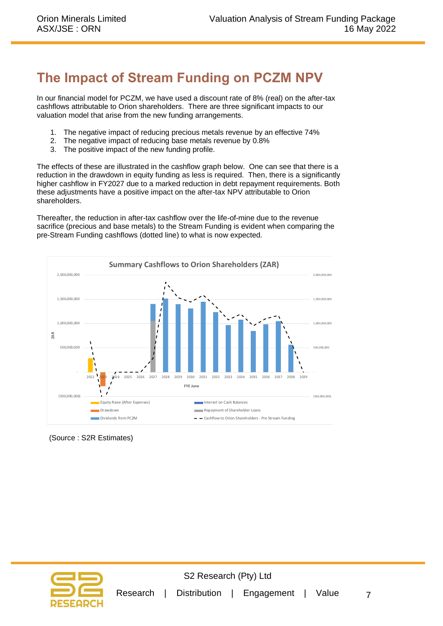## **The Impact of Stream Funding on PCZM NPV**

In our financial model for PCZM, we have used a discount rate of 8% (real) on the after-tax cashflows attributable to Orion shareholders. There are three significant impacts to our valuation model that arise from the new funding arrangements.

- 1. The negative impact of reducing precious metals revenue by an effective 74%
- 2. The negative impact of reducing base metals revenue by 0.8%
- 3. The positive impact of the new funding profile.

The effects of these are illustrated in the cashflow graph below. One can see that there is a reduction in the drawdown in equity funding as less is required. Then, there is a significantly higher cashflow in FY2027 due to a marked reduction in debt repayment requirements. Both these adjustments have a positive impact on the after-tax NPV attributable to Orion shareholders.

Thereafter, the reduction in after-tax cashflow over the life-of-mine due to the revenue sacrifice (precious and base metals) to the Stream Funding is evident when comparing the pre-Stream Funding cashflows (dotted line) to what is now expected.



(Source : S2R Estimates)

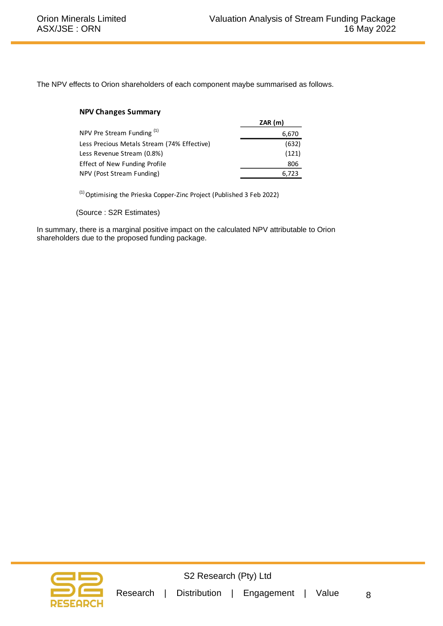The NPV effects to Orion shareholders of each component maybe summarised as follows.

| <b>NPV Changes Summary</b>                  |         |
|---------------------------------------------|---------|
|                                             | ZAR (m) |
| NPV Pre Stream Funding <sup>(1)</sup>       | 6,670   |
| Less Precious Metals Stream (74% Effective) | (632)   |
| Less Revenue Stream (0.8%)                  | (121)   |
| Effect of New Funding Profile               | 806     |
| NPV (Post Stream Funding)                   | 6.723   |

 $^{(1)}$  Optimising the Prieska Copper-Zinc Project (Published 3 Feb 2022)

(Source : S2R Estimates)

In summary, there is a marginal positive impact on the calculated NPV attributable to Orion shareholders due to the proposed funding package.

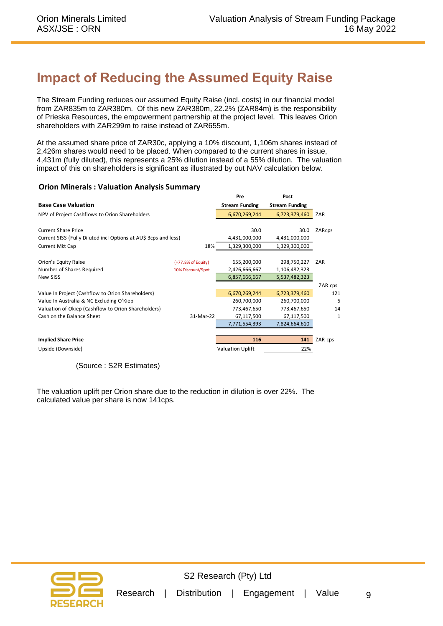## **Impact of Reducing the Assumed Equity Raise**

The Stream Funding reduces our assumed Equity Raise (incl. costs) in our financial model from ZAR835m to ZAR380m. Of this new ZAR380m, 22.2% (ZAR84m) is the responsibility of Prieska Resources, the empowerment partnership at the project level. This leaves Orion shareholders with ZAR299m to raise instead of ZAR655m.

At the assumed share price of ZAR30c, applying a 10% discount, 1,106m shares instead of 2,426m shares would need to be placed. When compared to the current shares in issue, 4,431m (fully diluted), this represents a 25% dilution instead of a 55% dilution. The valuation impact of this on shareholders is significant as illustrated by out NAV calculation below.

#### **Orion Minerals : Valuation Analysis Summary**

|                                                                 |                    | Pre                     | Post                  |         |
|-----------------------------------------------------------------|--------------------|-------------------------|-----------------------|---------|
| <b>Base Case Valuation</b>                                      |                    | <b>Stream Funding</b>   | <b>Stream Funding</b> |         |
| NPV of Project Cashflows to Orion Shareholders                  |                    | 6,670,269,244           | 6,723,379,460         | ZAR     |
| <b>Current Share Price</b>                                      |                    | 30.0                    | 30.0                  | ZARcps  |
| Current SISS (Fully Diluted incl Options at AU\$ 3cps and less) |                    | 4,431,000,000           | 4,431,000,000         |         |
| Current Mkt Cap                                                 | 18%                | 1,329,300,000           | 1,329,300,000         |         |
| Orion's Equity Raise                                            | (=77.8% of Equity) | 655,200,000             | 298,750,227           | ZAR     |
| Number of Shares Required                                       | 10% Discount/Spot  | 2,426,666,667           | 1,106,482,323         |         |
| New SISS                                                        |                    | 6,857,666,667           | 5,537,482,323         |         |
|                                                                 |                    |                         |                       | ZAR cps |
| Value In Project (Cashflow to Orion Shareholders)               |                    | 6,670,269,244           | 6,723,379,460         | 121     |
| Value In Australia & NC Excluding O'Kiep                        |                    | 260,700,000             | 260,700,000           | 5       |
| Valuation of Okiep (Cashflow to Orion Shareholders)             |                    | 773,467,650             | 773,467,650           | 14      |
| Cash on the Balance Sheet                                       | 31-Mar-22          | 67,117,500              | 67,117,500            | 1       |
|                                                                 |                    | 7,771,554,393           | 7,824,664,610         |         |
| <b>Implied Share Price</b>                                      |                    | 116                     | 141                   | ZAR cps |
| Upside (Downside)                                               |                    | <b>Valuation Uplift</b> | 22%                   |         |
|                                                                 |                    |                         |                       |         |

(Source : S2R Estimates)

The valuation uplift per Orion share due to the reduction in dilution is over 22%. The calculated value per share is now 141cps.

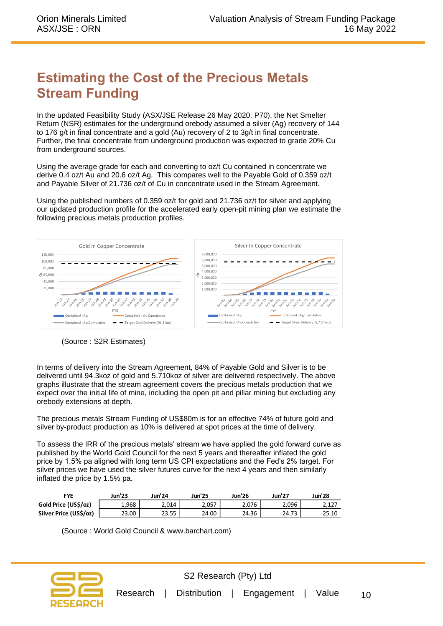## **Estimating the Cost of the Precious Metals Stream Funding**

In the updated Feasibility Study (ASX/JSE Release 26 May 2020, P70), the Net Smelter Return (NSR) estimates for the underground orebody assumed a silver (Ag) recovery of 144 to 176 g/t in final concentrate and a gold (Au) recovery of 2 to 3g/t in final concentrate. Further, the final concentrate from underground production was expected to grade 20% Cu from underground sources.

Using the average grade for each and converting to oz/t Cu contained in concentrate we derive 0.4 oz/t Au and 20.6 oz/t Ag. This compares well to the Payable Gold of 0.359 oz/t and Payable Silver of 21.736 oz/t of Cu in concentrate used in the Stream Agreement.

Using the published numbers of 0.359 oz/t for gold and 21.736 oz/t for silver and applying our updated production profile for the accelerated early open-pit mining plan we estimate the following precious metals production profiles.



(Source : S2R Estimates)

In terms of delivery into the Stream Agreement, 84% of Payable Gold and Silver is to be delivered until 94.3koz of gold and 5,710koz of silver are delivered respectively. The above graphs illustrate that the stream agreement covers the precious metals production that we expect over the initial life of mine, including the open pit and pillar mining but excluding any orebody extensions at depth.

The precious metals Stream Funding of US\$80m is for an effective 74% of future gold and silver by-product production as 10% is delivered at spot prices at the time of delivery.

To assess the IRR of the precious metals' stream we have applied the gold forward curve as published by the World Gold Council for the next 5 years and thereafter inflated the gold price by 1.5% pa aligned with long term US CPI expectations and the Fed's 2% target. For silver prices we have used the silver futures curve for the next 4 years and then similarly inflated the price by 1.5% pa.

| FYE                    | Jun'23 | Jun'24 | Jun'25 | <b>Jun'26</b> | Jun'27 | Jun'28 |
|------------------------|--------|--------|--------|---------------|--------|--------|
| Gold Price (US\$/oz)   | 1.968  | 2.014  | 2.057  | 2,076         | 2,096  | 2,127  |
| Silver Price (US\$/oz) | 23.00  | 23.55  | 24.00  | 24.36         | 24.73  | 25.10  |

(Source : World Gold Council & www.barchart.com)

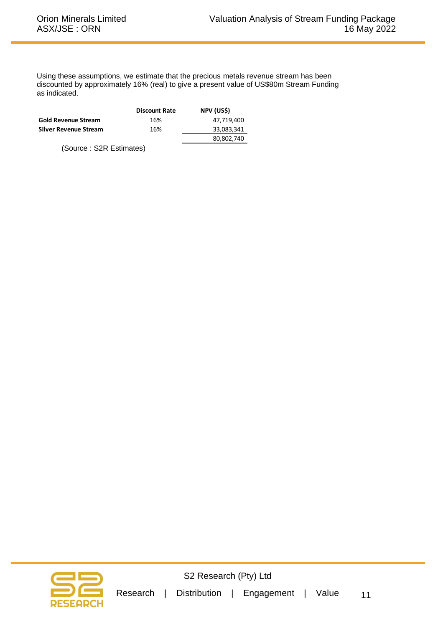Using these assumptions, we estimate that the precious metals revenue stream has been discounted by approximately 16% (real) to give a present value of US\$80m Stream Funding as indicated.

|                              | <b>Discount Rate</b> | NPV (US\$) |
|------------------------------|----------------------|------------|
| <b>Gold Revenue Stream</b>   | 16%                  | 47,719,400 |
| <b>Silver Revenue Stream</b> | 16%                  | 33,083,341 |
|                              |                      | 80,802,740 |

(Source : S2R Estimates)

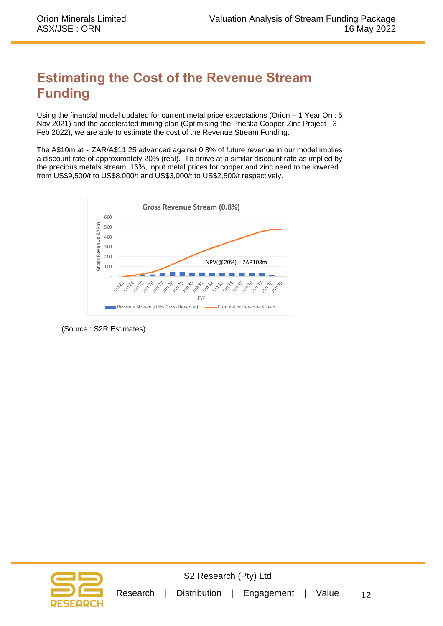## **Estimating the Cost of the Revenue Stream Funding**

Using the financial model updated for current metal price expectations (Orion – 1 Year On : 5 Nov 2021) and the accelerated mining plan (Optimising the Prieska Copper-Zinc Project - 3 Feb 2022), we are able to estimate the cost of the Revenue Stream Funding.

The A\$10m at  $\sim$  ZAR/A\$11.25 advanced against 0.8% of future revenue in our model implies a discount rate of approximately 20% (real). To arrive at a similar discount rate as implied by the precious metals stream, 16%, input metal prices for copper and zinc need to be lowered from US\$9,500/t to US\$8,000/t and US\$3,000/t to US\$2,500/t respectively.



(Source : S2R Estimates)

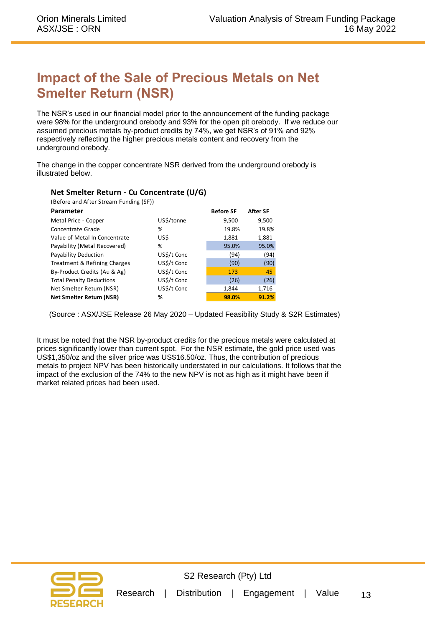## **Impact of the Sale of Precious Metals on Net Smelter Return (NSR)**

The NSR's used in our financial model prior to the announcement of the funding package were 98% for the underground orebody and 93% for the open pit orebody. If we reduce our assumed precious metals by-product credits by 74%, we get NSR's of 91% and 92% respectively reflecting the higher precious metals content and recovery from the underground orebody.

The change in the copper concentrate NSR derived from the underground orebody is illustrated below.

| (Before and After Stream Funding (SF)) |             |                  |                 |
|----------------------------------------|-------------|------------------|-----------------|
| Parameter                              |             | <b>Before SF</b> | <b>After SF</b> |
| Metal Price - Copper                   | US\$/tonne  | 9,500            | 9,500           |
| Concentrate Grade                      | %           | 19.8%            | 19.8%           |
| Value of Metal In Concentrate          | US\$        | 1,881            | 1,881           |
| Payability (Metal Recovered)           | %           | 95.0%            | 95.0%           |
| Payability Deduction                   | US\$/t Conc | (94)             | (94)            |
| Treatment & Refining Charges           | US\$/t Conc | (90)             | (90)            |
| By-Product Credits (Au & Ag)           | US\$/t Conc | 173              | 45              |
| <b>Total Penalty Deductions</b>        | US\$/t Conc | (26)             | (26)            |
| Net Smelter Return (NSR)               | US\$/t Conc | 1,844            | 1,716           |
| Net Smelter Return (NSR)               | %           | 98.0%            | 91.2%           |

#### **Net Smelter Return - Cu Concentrate (U/G)**

(Source : ASX/JSE Release 26 May 2020 – Updated Feasibility Study & S2R Estimates)

It must be noted that the NSR by-product credits for the precious metals were calculated at prices significantly lower than current spot. For the NSR estimate, the gold price used was US\$1,350/oz and the silver price was US\$16.50/oz. Thus, the contribution of precious metals to project NPV has been historically understated in our calculations. It follows that the impact of the exclusion of the 74% to the new NPV is not as high as it might have been if market related prices had been used.

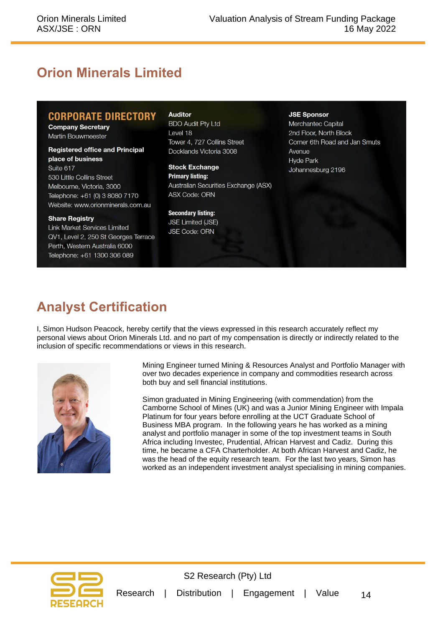## **Orion Minerals Limited**

#### **CORPORATE DIRECTORY**

**Company Secretary** Martin Bouwmeester

**Registered office and Principal** place of business Suite 617 530 Little Collins Street Melbourne, Victoria, 3000 Telephone: +61 (0) 3 8080 7170 Website: www.orionminerals.com.au

#### **Share Registry**

**Link Market Services Limited** QV1, Level 2, 250 St Georges Terrace Perth, Western Australia 6000 Telephone: +61 1300 306 089

#### **Auditor**

**BDO Audit Pty Ltd** Level 18 Tower 4, 727 Collins Street Docklands Victoria 3008

**Stock Exchange Primary listing:** Australian Securities Exchange (ASX) **ASX Code: ORN** 

**Secondary listing: JSE Limited (JSE) JSE Code: ORN** 

#### **JSE Sponsor**

Merchantec Capital 2nd Floor, North Block Corner 6th Road and Jan Smuts Avenue **Hyde Park** Johannesburg 2196

## **Analyst Certification**

I, Simon Hudson Peacock, hereby certify that the views expressed in this research accurately reflect my personal views about Orion Minerals Ltd. and no part of my compensation is directly or indirectly related to the inclusion of specific recommendations or views in this research.



Mining Engineer turned Mining & Resources Analyst and Portfolio Manager with over two decades experience in company and commodities research across both buy and sell financial institutions.

Simon graduated in Mining Engineering (with commendation) from the Camborne School of Mines (UK) and was a Junior Mining Engineer with Impala Platinum for four years before enrolling at the UCT Graduate School of Business MBA program. In the following years he has worked as a mining analyst and portfolio manager in some of the top investment teams in South Africa including Investec, Prudential, African Harvest and Cadiz. During this time, he became a CFA Charterholder. At both African Harvest and Cadiz, he was the head of the equity research team. For the last two years, Simon has worked as an independent investment analyst specialising in mining companies.